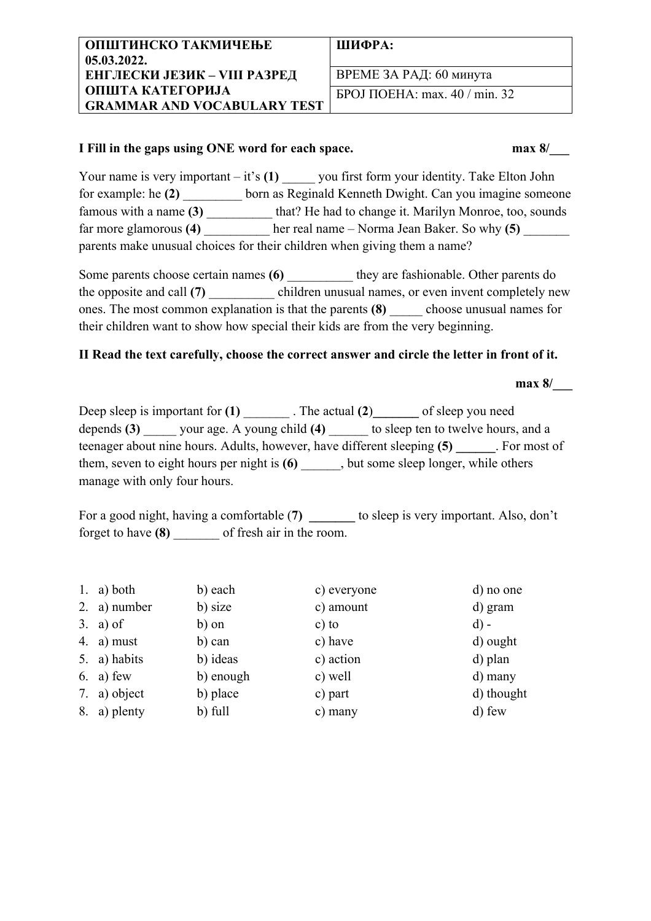#### **ШИФРА:**

ВРЕМЕ ЗА РАД: 60 минута БРОЈ ПОЕНА: max. 40 / min. 32

### **I Fill in the gaps using ONE word for each space. max 8/\_\_\_**

Your name is very important – it's (1) \_\_\_\_\_ you first form your identity. Take Elton John for example: he (2) born as Reginald Kenneth Dwight. Can you imagine someone famous with a name **(3)** \_\_\_\_\_\_\_\_\_\_ that? He had to change it. Marilyn Monroe, too, sounds far more glamorous **(4)** her real name – Norma Jean Baker. So why **(5)**  $\blacksquare$ parents make unusual choices for their children when giving them a name?

Some parents choose certain names (6) they are fashionable. Other parents do the opposite and call (7) children unusual names, or even invent completely new ones. The most common explanation is that the parents **(8)** choose unusual names for their children want to show how special their kids are from the very beginning.

## **II Read the text carefully, choose the correct answer and circle the letter in front of it.**

**max 8/** 

Deep sleep is important for **(1)** \_\_\_\_\_\_\_ . The actual **(2**)**\_\_\_\_\_\_\_** of sleep you need depends **(3)** your age. A young child **(4)** to sleep ten to twelve hours, and a teenager about nine hours. Adults, however, have different sleeping **(5) \_\_\_\_\_\_**. For most of them, seven to eight hours per night is **(6)**, but some sleep longer, while others manage with only four hours.

For a good night, having a comfortable (7) **b** to sleep is very important. Also, don't forget to have **(8)** \_\_\_\_\_\_\_ of fresh air in the room.

| 1. a) both   | b) each   | c) everyone | d) no one  |
|--------------|-----------|-------------|------------|
| 2. a) number | b) size   | c) amount   | d) gram    |
| 3. a) of     | b) on     | $c)$ to     | $d$ ) -    |
| 4. a) must   | b) can    | c) have     | d) ought   |
| 5. a) habits | b) ideas  | c) action   | d) plan    |
| $6. a)$ few  | b) enough | c) well     | d) many    |
| 7. a) object | b) place  | c) part     | d) thought |
| 8. a) plenty | b) full   | c) many     | d) few     |